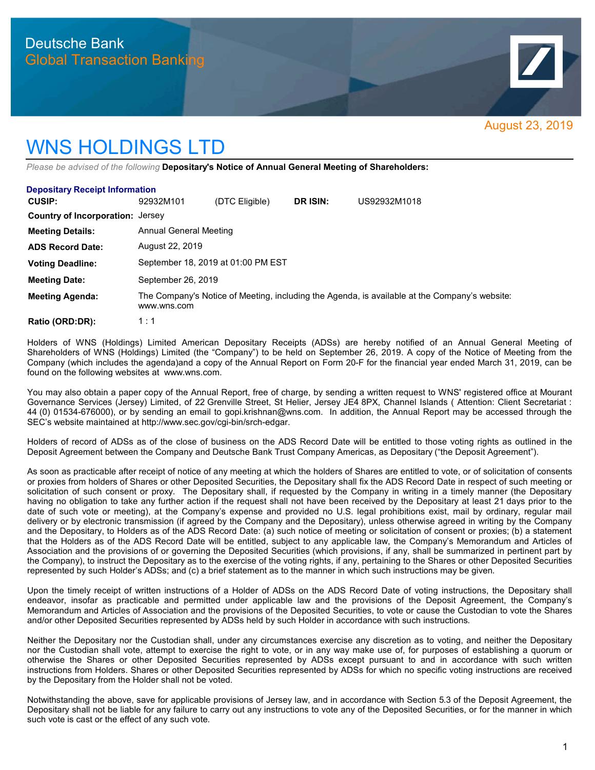

## WNS HOLDINGS LTD

*Please be advised of the following* **Depositary's Notice of Annual General Meeting of Shareholders:**

| <b>Depositary Receipt Information</b>   |                                                                                                              |                |          |              |
|-----------------------------------------|--------------------------------------------------------------------------------------------------------------|----------------|----------|--------------|
| CUSIP:                                  | 92932M101                                                                                                    | (DTC Eligible) | DR ISIN: | US92932M1018 |
| <b>Country of Incorporation:</b> Jersey |                                                                                                              |                |          |              |
| <b>Meeting Details:</b>                 | Annual General Meeting                                                                                       |                |          |              |
| <b>ADS Record Date:</b>                 | August 22, 2019                                                                                              |                |          |              |
| <b>Voting Deadline:</b>                 | September 18, 2019 at 01:00 PM EST                                                                           |                |          |              |
| <b>Meeting Date:</b>                    | September 26, 2019                                                                                           |                |          |              |
| <b>Meeting Agenda:</b>                  | The Company's Notice of Meeting, including the Agenda, is available at the Company's website:<br>www.wns.com |                |          |              |
| Ratio (ORD:DR):                         | 1:1                                                                                                          |                |          |              |

Holders of WNS (Holdings) Limited American Depositary Receipts (ADSs) are hereby notified of an Annual General Meeting of Shareholders of WNS (Holdings) Limited (the "Company") to be held on September 26, 2019. A copy of the Notice of Meeting from the Company (which includes the agenda)and a copy of the Annual Report on Form 20-F for the financial year ended March 31, 2019, can be found on the following websites at www.wns.com.

You may also obtain a paper copy of the Annual Report, free of charge, by sending a written request to WNS' registered office at Mourant Governance Services (Jersey) Limited, of 22 Grenville Street, St Helier, Jersey JE4 8PX, Channel Islands ( Attention: Client Secretariat : 44 (0) 01534-676000), or by sending an email to gopi.krishnan@wns.com. In addition, the Annual Report may be accessed through the SEC's website maintained at http://www.sec.gov/cgi-bin/srch-edgar.

Holders of record of ADSs as of the close of business on the ADS Record Date will be entitled to those voting rights as outlined in the Deposit Agreement between the Company and Deutsche Bank Trust Company Americas, as Depositary ("the Deposit Agreement").

As soon as practicable after receipt of notice of any meeting at which the holders of Shares are entitled to vote, or of solicitation of consents or proxies from holders of Shares or other Deposited Securities, the Depositary shall fix the ADS Record Date in respect of such meeting or solicitation of such consent or proxy. The Depositary shall, if requested by the Company in writing in a timely manner (the Depositary having no obligation to take any further action if the request shall not have been received by the Depositary at least 21 days prior to the date of such vote or meeting), at the Company's expense and provided no U.S. legal prohibitions exist, mail by ordinary, regular mail delivery or by electronic transmission (if agreed by the Company and the Depositary), unless otherwise agreed in writing by the Company and the Depositary, to Holders as of the ADS Record Date: (a) such notice of meeting or solicitation of consent or proxies; (b) a statement that the Holders as of the ADS Record Date will be entitled, subject to any applicable law, the Company's Memorandum and Articles of Association and the provisions of or governing the Deposited Securities (which provisions, if any, shall be summarized in pertinent part by the Company), to instruct the Depositary as to the exercise of the voting rights, if any, pertaining to the Shares or other Deposited Securities represented by such Holder's ADSs; and (c) a brief statement as to the manner in which such instructions may be given.

Upon the timely receipt of written instructions of a Holder of ADSs on the ADS Record Date of voting instructions, the Depositary shall endeavor, insofar as practicable and permitted under applicable law and the provisions of the Deposit Agreement, the Company's Memorandum and Articles of Association and the provisions of the Deposited Securities, to vote or cause the Custodian to vote the Shares and/or other Deposited Securities represented by ADSs held by such Holder in accordance with such instructions.

Neither the Depositary nor the Custodian shall, under any circumstances exercise any discretion as to voting, and neither the Depositary nor the Custodian shall vote, attempt to exercise the right to vote, or in any way make use of, for purposes of establishing a quorum or otherwise the Shares or other Deposited Securities represented by ADSs except pursuant to and in accordance with such written instructions from Holders. Shares or other Deposited Securities represented by ADSs for which no specific voting instructions are received by the Depositary from the Holder shall not be voted.

Notwithstanding the above, save for applicable provisions of Jersey law, and in accordance with Section 5.3 of the Deposit Agreement, the Depositary shall not be liable for any failure to carry out any instructions to vote any of the Deposited Securities, or for the manner in which such vote is cast or the effect of any such vote.